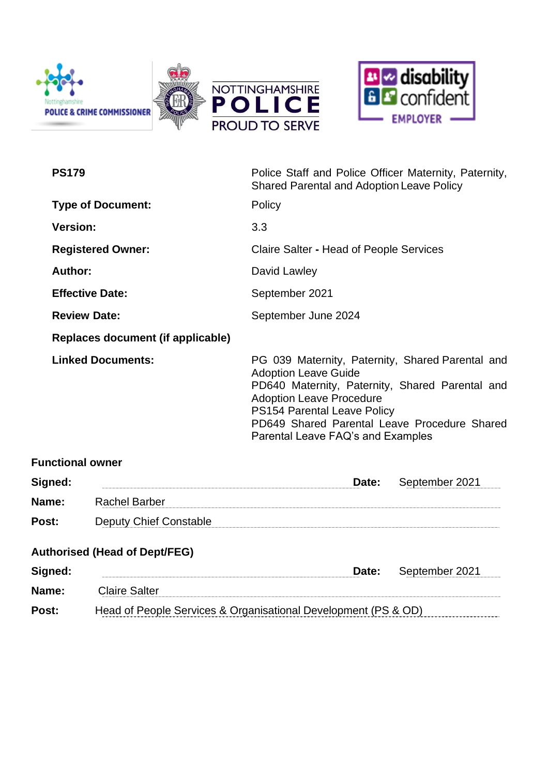



| <b>PS179</b>            |                                      | Police Staff and Police Officer Maternity, Paternity,<br><b>Shared Parental and Adoption Leave Policy</b>                                                                                                                                                                                 |                |
|-------------------------|--------------------------------------|-------------------------------------------------------------------------------------------------------------------------------------------------------------------------------------------------------------------------------------------------------------------------------------------|----------------|
|                         | <b>Type of Document:</b>             | Policy                                                                                                                                                                                                                                                                                    |                |
| <b>Version:</b>         |                                      | 3.3                                                                                                                                                                                                                                                                                       |                |
|                         | <b>Registered Owner:</b>             | <b>Claire Salter - Head of People Services</b>                                                                                                                                                                                                                                            |                |
| <b>Author:</b>          |                                      | David Lawley                                                                                                                                                                                                                                                                              |                |
|                         | <b>Effective Date:</b>               | September 2021                                                                                                                                                                                                                                                                            |                |
|                         | <b>Review Date:</b>                  | September June 2024                                                                                                                                                                                                                                                                       |                |
|                         | Replaces document (if applicable)    |                                                                                                                                                                                                                                                                                           |                |
|                         | <b>Linked Documents:</b>             | PG 039 Maternity, Paternity, Shared Parental and<br><b>Adoption Leave Guide</b><br>PD640 Maternity, Paternity, Shared Parental and<br><b>Adoption Leave Procedure</b><br>PS154 Parental Leave Policy<br>PD649 Shared Parental Leave Procedure Shared<br>Parental Leave FAQ's and Examples |                |
| <b>Functional owner</b> |                                      |                                                                                                                                                                                                                                                                                           |                |
| Signed:                 |                                      | Date:                                                                                                                                                                                                                                                                                     | September 2021 |
| Name:                   | <b>Rachel Barber</b>                 |                                                                                                                                                                                                                                                                                           |                |
| Post:                   |                                      | Deputy Chief Constable Manuscripture of the Constable Manuscripture of the Deputy Chief Constable                                                                                                                                                                                         |                |
|                         | <b>Authorised (Head of Dept/FEG)</b> |                                                                                                                                                                                                                                                                                           |                |
| Signed:                 |                                      | Date:                                                                                                                                                                                                                                                                                     | September 2021 |
| Name:                   | <b>Claire Salter</b>                 |                                                                                                                                                                                                                                                                                           |                |
| Post:                   |                                      | Head of People Services & Organisational Development (PS & OD)                                                                                                                                                                                                                            |                |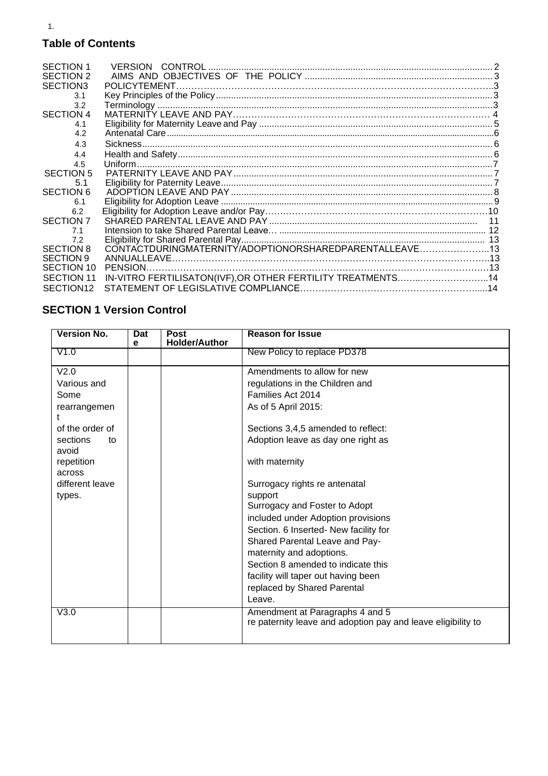## **Table of Contents**

| SECTION 1             | <b>VERSION</b>                                              |  |
|-----------------------|-------------------------------------------------------------|--|
| SECTION 2             |                                                             |  |
| SECTION3              |                                                             |  |
| 3.1                   |                                                             |  |
| 3.2                   |                                                             |  |
| <b>SECTION 4</b>      |                                                             |  |
| 4.1                   |                                                             |  |
| 4.2                   |                                                             |  |
| 4.3                   |                                                             |  |
| 4.4                   |                                                             |  |
| 4.5                   |                                                             |  |
| SECTION 5             |                                                             |  |
| 5.1                   |                                                             |  |
| <b>SECTION 6</b>      |                                                             |  |
| 6.1                   |                                                             |  |
| 6.2                   |                                                             |  |
| SECTION 7             |                                                             |  |
| 7.1                   |                                                             |  |
| 7.2                   |                                                             |  |
| <b>SECTION 8</b>      | CONTACTDURINGMATERNITY/ADOPTIONORSHAREDPARENTALLEAVE13      |  |
| SECTION 9             |                                                             |  |
| SECTION 10            |                                                             |  |
| SECTION 11            | IN-VITRO FERTILISATON(IVF), OR OTHER FERTILITY TREATMENTS14 |  |
| SECTION <sub>12</sub> |                                                             |  |

## <span id="page-1-0"></span>**SECTION 1 Version Control**

| <b>Version No.</b>                                                                                                | Dat<br>e | <b>Post</b><br><b>Holder/Author</b> | <b>Reason for Issue</b>                                                                                                                                                                                                                                                                                                                      |
|-------------------------------------------------------------------------------------------------------------------|----------|-------------------------------------|----------------------------------------------------------------------------------------------------------------------------------------------------------------------------------------------------------------------------------------------------------------------------------------------------------------------------------------------|
| V1.0                                                                                                              |          |                                     | New Policy to replace PD378                                                                                                                                                                                                                                                                                                                  |
| V2.0<br>Various and<br>Some<br>rearrangemen<br>of the order of<br>sections<br>to<br>avoid<br>repetition<br>across |          |                                     | Amendments to allow for new<br>regulations in the Children and<br>Families Act 2014<br>As of 5 April 2015:<br>Sections 3,4,5 amended to reflect:<br>Adoption leave as day one right as<br>with maternity                                                                                                                                     |
| different leave<br>types.                                                                                         |          |                                     | Surrogacy rights re antenatal<br>support<br>Surrogacy and Foster to Adopt<br>included under Adoption provisions<br>Section. 6 Inserted- New facility for<br>Shared Parental Leave and Pay-<br>maternity and adoptions.<br>Section 8 amended to indicate this<br>facility will taper out having been<br>replaced by Shared Parental<br>Leave. |
| V3.0                                                                                                              |          |                                     | Amendment at Paragraphs 4 and 5<br>re paternity leave and adoption pay and leave eligibility to                                                                                                                                                                                                                                              |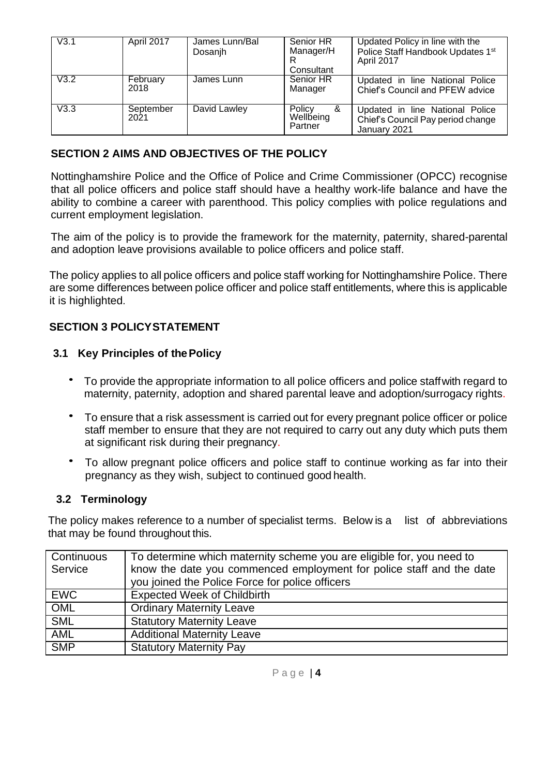| V3.1 | April 2017        | James Lunn/Bal<br>Dosanjh | Senior HR<br>Manager/H<br>Consultant  | Updated Policy in line with the<br>Police Staff Handbook Updates 1st<br>April 2017   |
|------|-------------------|---------------------------|---------------------------------------|--------------------------------------------------------------------------------------|
| V3.2 | February<br>2018  | James Lunn                | Senior HR<br>Manager                  | Updated in line National Police<br>Chief's Council and PFEW advice                   |
| V3.3 | September<br>2021 | David Lawley              | Policy<br>୍ୟୁ<br>Wellbeing<br>Partner | Updated in line National Police<br>Chief's Council Pay period change<br>January 2021 |

# **SECTION 2 AIMS AND OBJECTIVES OF THE POLICY**

Nottinghamshire Police and the Office of Police and Crime Commissioner (OPCC) recognise that all police officers and police staff should have a healthy work-life balance and have the ability to combine a career with parenthood. This policy complies with police regulations and current employment legislation.

The aim of the policy is to provide the framework for the maternity, paternity, shared-parental and adoption leave provisions available to police officers and police staff.

The policy applies to all police officers and police staff working for Nottinghamshire Police. There are some differences between police officer and police staff entitlements, where this is applicable it is highlighted.

## **SECTION 3 POLICYSTATEMENT**

## <span id="page-2-0"></span>**3.1 Key Principles of thePolicy**

- To provide the appropriate information to all police officers and police staffwith regard to maternity, paternity, adoption and shared parental leave and adoption/surrogacy rights.
- To ensure that a risk assessment is carried out for every pregnant police officer or police staff member to ensure that they are not required to carry out any duty which puts them at significant risk during their pregnancy.
- To allow pregnant police officers and police staff to continue working as far into their pregnancy as they wish, subject to continued good health.

### <span id="page-2-1"></span>**3.2 Terminology**

The policy makes reference to a number of specialist terms. Below is a list of abbreviations that may be found throughout this.

| Continuous | To determine which maternity scheme you are eligible for, you need to |
|------------|-----------------------------------------------------------------------|
| Service    | know the date you commenced employment for police staff and the date  |
|            | you joined the Police Force for police officers                       |
| <b>EWC</b> | <b>Expected Week of Childbirth</b>                                    |
| OML        | <b>Ordinary Maternity Leave</b>                                       |
| <b>SML</b> | <b>Statutory Maternity Leave</b>                                      |
| <b>AML</b> | <b>Additional Maternity Leave</b>                                     |
| <b>SMP</b> | <b>Statutory Maternity Pay</b>                                        |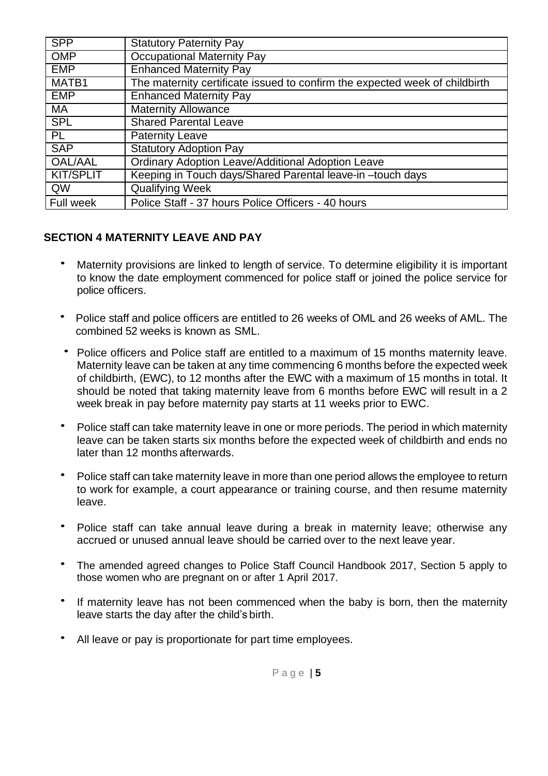| <b>SPP</b>       | Statutory Paternity Pay                                                     |
|------------------|-----------------------------------------------------------------------------|
| <b>OMP</b>       | <b>Occupational Maternity Pay</b>                                           |
| <b>EMP</b>       | <b>Enhanced Maternity Pay</b>                                               |
| MATB1            | The maternity certificate issued to confirm the expected week of childbirth |
| <b>EMP</b>       | <b>Enhanced Maternity Pay</b>                                               |
| <b>MA</b>        | <b>Maternity Allowance</b>                                                  |
| <b>SPL</b>       | <b>Shared Parental Leave</b>                                                |
| <b>PL</b>        | <b>Paternity Leave</b>                                                      |
| <b>SAP</b>       | <b>Statutory Adoption Pay</b>                                               |
| <b>OAL/AAL</b>   | <b>Ordinary Adoption Leave/Additional Adoption Leave</b>                    |
| <b>KIT/SPLIT</b> | Keeping in Touch days/Shared Parental leave-in-touch days                   |
| QW               | <b>Qualifying Week</b>                                                      |
| Full week        | Police Staff - 37 hours Police Officers - 40 hours                          |

## **SECTION 4 MATERNITY LEAVE AND PAY**

- Maternity provisions are linked to length of service. To determine eligibility it is important to know the date employment commenced for police staff or joined the police service for police officers.
- Police staff and police officers are entitled to 26 weeks of OML and 26 weeks of AML. The combined 52 weeks is known as SML.
- Police officers and Police staff are entitled to a maximum of 15 months maternity leave. Maternity leave can be taken at any time commencing 6 months before the expected week of childbirth, (EWC), to 12 months after the EWC with a maximum of 15 months in total. It should be noted that taking maternity leave from 6 months before EWC will result in a 2 week break in pay before maternity pay starts at 11 weeks prior to EWC.
- Police staff can take maternity leave in one or more periods. The period in which maternity leave can be taken starts six months before the expected week of childbirth and ends no later than 12 months afterwards.
- Police staff can take maternity leave in more than one period allows the employee to return to work for example, a court appearance or training course, and then resume maternity leave.
- Police staff can take annual leave during a break in maternity leave; otherwise any accrued or unused annual leave should be carried over to the next leave year.
- The amended agreed changes to Police Staff Council Handbook 2017, Section 5 apply to those women who are pregnant on or after 1 April 2017.
- If maternity leave has not been commenced when the baby is born, then the maternity leave starts the day after the child's birth.
- All leave or pay is proportionate for part time employees.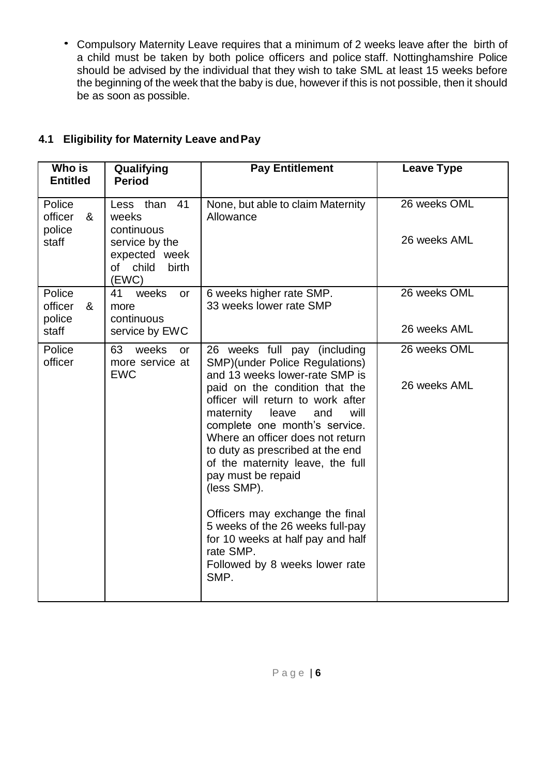• Compulsory Maternity Leave requires that a minimum of 2 weeks leave after the birth of a child must be taken by both police officers and police staff. Nottinghamshire Police should be advised by the individual that they wish to take SML at least 15 weeks before the beginning of the week that the baby is due, however if this is not possible, then it should be as soon as possible.

| Who is<br><b>Entitled</b>                 | Qualifying<br><b>Period</b>                                                                             | <b>Pay Entitlement</b>                                                                                                                                                                                                                                                                                                                                                                                 | <b>Leave Type</b>            |
|-------------------------------------------|---------------------------------------------------------------------------------------------------------|--------------------------------------------------------------------------------------------------------------------------------------------------------------------------------------------------------------------------------------------------------------------------------------------------------------------------------------------------------------------------------------------------------|------------------------------|
| Police<br>officer<br>&<br>police<br>staff | 41<br>Less than<br>weeks<br>continuous<br>service by the<br>expected week<br>of child<br>birth<br>(EWC) | None, but able to claim Maternity<br>Allowance                                                                                                                                                                                                                                                                                                                                                         | 26 weeks OML<br>26 weeks AML |
| Police<br>officer<br>&<br>police          | weeks<br>41<br><b>or</b><br>more<br>continuous                                                          | 6 weeks higher rate SMP.<br>33 weeks lower rate SMP                                                                                                                                                                                                                                                                                                                                                    | 26 weeks OML<br>26 weeks AML |
| staff                                     | service by EWC                                                                                          |                                                                                                                                                                                                                                                                                                                                                                                                        |                              |
| Police<br>officer                         | 63<br>weeks<br><b>or</b><br>more service at<br><b>EWC</b>                                               | 26 weeks full pay (including<br><b>SMP)</b> (under Police Regulations)<br>and 13 weeks lower-rate SMP is<br>paid on the condition that the<br>officer will return to work after<br>maternity<br>leave<br>will<br>and<br>complete one month's service.<br>Where an officer does not return<br>to duty as prescribed at the end<br>of the maternity leave, the full<br>pay must be repaid<br>(less SMP). | 26 weeks OML<br>26 weeks AML |
|                                           |                                                                                                         | Officers may exchange the final<br>5 weeks of the 26 weeks full-pay<br>for 10 weeks at half pay and half<br>rate SMP.<br>Followed by 8 weeks lower rate<br>SMP.                                                                                                                                                                                                                                        |                              |

# <span id="page-4-0"></span>**4.1 Eligibility for Maternity Leave andPay**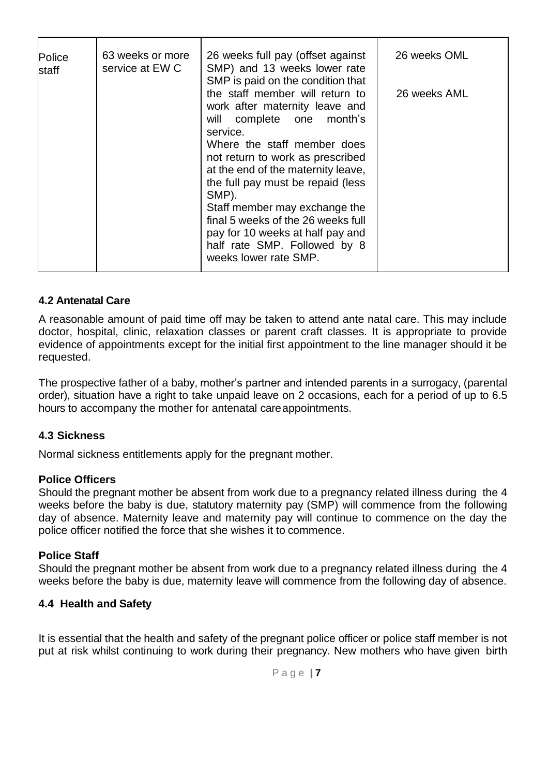| Police<br><b>staff</b> | 63 weeks or more<br>service at EW C | 26 weeks full pay (offset against<br>SMP) and 13 weeks lower rate<br>SMP is paid on the condition that                                                                                                                                                                                                                                                                                                                                | 26 weeks OML |
|------------------------|-------------------------------------|---------------------------------------------------------------------------------------------------------------------------------------------------------------------------------------------------------------------------------------------------------------------------------------------------------------------------------------------------------------------------------------------------------------------------------------|--------------|
|                        |                                     | the staff member will return to<br>work after maternity leave and<br>will complete one month's<br>service.<br>Where the staff member does<br>not return to work as prescribed<br>at the end of the maternity leave,<br>the full pay must be repaid (less<br>SMP).<br>Staff member may exchange the<br>final 5 weeks of the 26 weeks full<br>pay for 10 weeks at half pay and<br>half rate SMP. Followed by 8<br>weeks lower rate SMP. | 26 weeks AML |

#### <span id="page-5-0"></span>**4.2 Antenatal Care**

A reasonable amount of paid time off may be taken to attend ante natal care. This may include doctor, hospital, clinic, relaxation classes or parent craft classes. It is appropriate to provide evidence of appointments except for the initial first appointment to the line manager should it be requested.

The prospective father of a baby, mother's partner and intended parents in a surrogacy, (parental order), situation have a right to take unpaid leave on 2 occasions, each for a period of up to 6.5 hours to accompany the mother for antenatal careappointments.

#### <span id="page-5-1"></span>**4.3 Sickness**

Normal sickness entitlements apply for the pregnant mother.

#### **Police Officers**

Should the pregnant mother be absent from work due to a pregnancy related illness during the 4 weeks before the baby is due, statutory maternity pay (SMP) will commence from the following day of absence. Maternity leave and maternity pay will continue to commence on the day the police officer notified the force that she wishes it to commence.

#### **Police Staff**

Should the pregnant mother be absent from work due to a pregnancy related illness during the 4 weeks before the baby is due, maternity leave will commence from the following day of absence.

#### <span id="page-5-2"></span>**4.4 Health and Safety**

It is essential that the health and safety of the pregnant police officer or police staff member is not put at risk whilst continuing to work during their pregnancy. New mothers who have given birth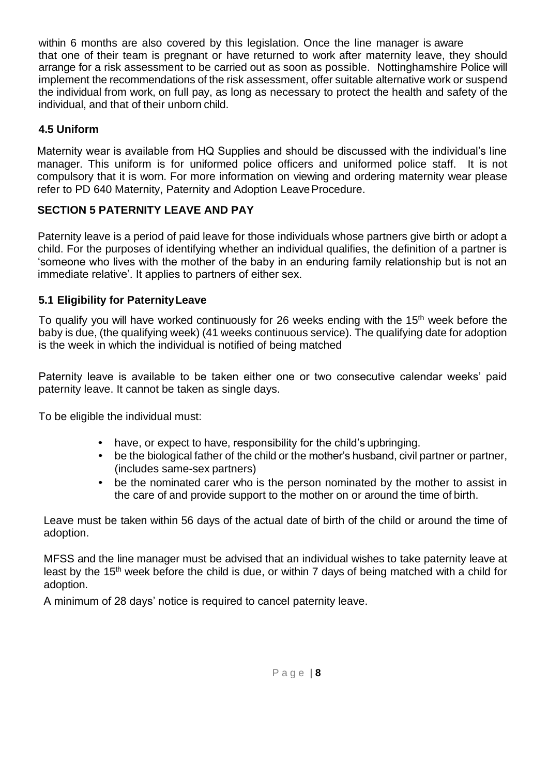within 6 months are also covered by this legislation. Once the line manager is aware that one of their team is pregnant or have returned to work after maternity leave, they should arrange for a risk assessment to be carried out as soon as possible. Nottinghamshire Police will implement the recommendations of the risk assessment, offer suitable alternative work or suspend the individual from work, on full pay, as long as necessary to protect the health and safety of the individual, and that of their unborn child.

# <span id="page-6-0"></span>**4.5 Uniform**

Maternity wear is available from HQ Supplies and should be discussed with the individual's line manager. This uniform is for uniformed police officers and uniformed police staff. It is not compulsory that it is worn. For more information on viewing and ordering maternity wear please refer to PD 640 Maternity, Paternity and Adoption Leave Procedure.

# <span id="page-6-1"></span> **SECTION 5 PATERNITY LEAVE AND PAY**

Paternity leave is a period of paid leave for those individuals whose partners give birth or adopt a child. For the purposes of identifying whether an individual qualifies, the definition of a partner is 'someone who lives with the mother of the baby in an enduring family relationship but is not an immediate relative'. It applies to partners of either sex.

# <span id="page-6-2"></span>**5.1 Eligibility for PaternityLeave**

To qualify you will have worked continuously for 26 weeks ending with the 15<sup>th</sup> week before the baby is due, (the qualifying week) (41 weeks continuous service). The qualifying date for adoption is the week in which the individual is notified of being matched

Paternity leave is available to be taken either one or two consecutive calendar weeks' paid paternity leave. It cannot be taken as single days.

To be eligible the individual must:

- have, or expect to have, responsibility for the child's upbringing.
- be the biological father of the child or the mother's husband, civil partner or partner, (includes same-sex partners)
- be the nominated carer who is the person nominated by the mother to assist in the care of and provide support to the mother on or around the time of birth.

Leave must be taken within 56 days of the actual date of birth of the child or around the time of adoption.

MFSS and the line manager must be advised that an individual wishes to take paternity leave at least by the 15<sup>th</sup> week before the child is due, or within 7 days of being matched with a child for adoption.

A minimum of 28 days' notice is required to cancel paternity leave.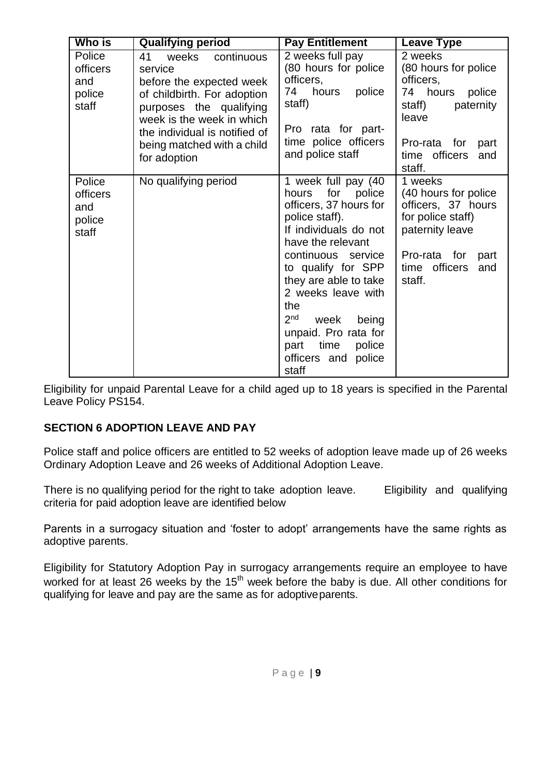| <b>Who is</b>                                | <b>Qualifying period</b>                                                                                                                                                                                                               | <b>Pay Entitlement</b>                                                                                                                                                                                                                                                                                                                                          | <b>Leave Type</b>                                                                                                                                             |
|----------------------------------------------|----------------------------------------------------------------------------------------------------------------------------------------------------------------------------------------------------------------------------------------|-----------------------------------------------------------------------------------------------------------------------------------------------------------------------------------------------------------------------------------------------------------------------------------------------------------------------------------------------------------------|---------------------------------------------------------------------------------------------------------------------------------------------------------------|
| Police<br>officers<br>and<br>police<br>staff | 41<br>weeks<br>continuous<br>service<br>before the expected week<br>of childbirth. For adoption<br>purposes the qualifying<br>week is the week in which<br>the individual is notified of<br>being matched with a child<br>for adoption | 2 weeks full pay<br>(80 hours for police<br>officers,<br>police<br>74<br>hours<br>staff)<br>Pro rata for part-<br>time police officers<br>and police staff                                                                                                                                                                                                      | 2 weeks<br>(80 hours for police)<br>officers,<br>74 hours<br>police<br>paternity<br>staff)<br>leave<br>Pro-rata for<br>part<br>time officers<br>and<br>staff. |
| Police<br>officers<br>and<br>police<br>staff | No qualifying period                                                                                                                                                                                                                   | 1 week full pay (40<br>hours for police<br>officers, 37 hours for<br>police staff).<br>If individuals do not<br>have the relevant<br>continuous<br>service<br>to qualify for SPP<br>they are able to take<br>2 weeks leave with<br>the<br>2 <sub>nd</sub><br>week<br>being<br>unpaid. Pro rata for<br>time<br>part<br>police<br>officers and<br>police<br>staff | 1 weeks<br>(40 hours for police)<br>officers, 37 hours<br>for police staff)<br>paternity leave<br>Pro-rata<br>for<br>part<br>time officers<br>and<br>staff.   |

Eligibility for unpaid Parental Leave for a child aged up to 18 years is specified in the Parental Leave Policy PS154.

### <span id="page-7-0"></span>**SECTION 6 ADOPTION LEAVE AND PAY**

Police staff and police officers are entitled to 52 weeks of adoption leave made up of 26 weeks Ordinary Adoption Leave and 26 weeks of Additional Adoption Leave.

There is no qualifying period for the right to take adoption leave. Eligibility and qualifying criteria for paid adoption leave are identified below

Parents in a surrogacy situation and 'foster to adopt' arrangements have the same rights as adoptive parents.

Eligibility for Statutory Adoption Pay in surrogacy arrangements require an employee to have worked for at least 26 weeks by the 15<sup>th</sup> week before the baby is due. All other conditions for qualifying for leave and pay are the same as for adoptiveparents.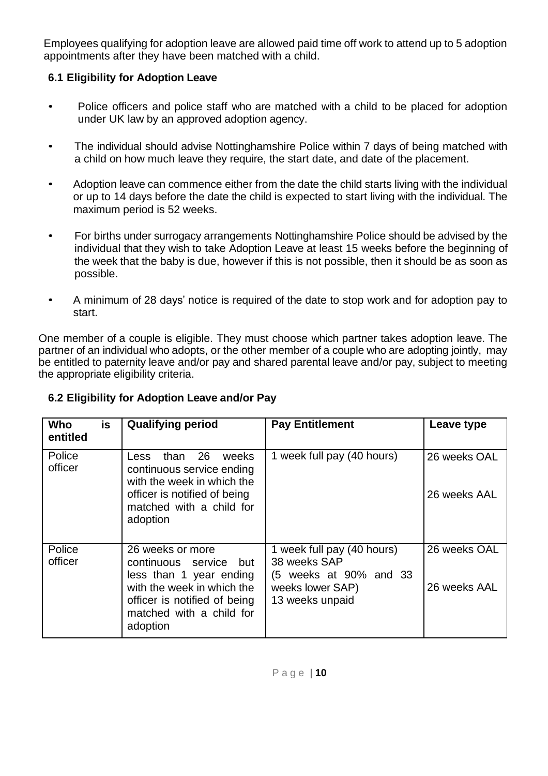Employees qualifying for adoption leave are allowed paid time off work to attend up to 5 adoption appointments after they have been matched with a child.

## <span id="page-8-0"></span>**6.1 Eligibility for Adoption Leave**

- Police officers and police staff who are matched with a child to be placed for adoption under UK law by an approved adoption agency.
- The individual should advise Nottinghamshire Police within 7 days of being matched with a child on how much leave they require, the start date, and date of the placement.
- Adoption leave can commence either from the date the child starts living with the individual or up to 14 days before the date the child is expected to start living with the individual. The maximum period is 52 weeks.
- For births under surrogacy arrangements Nottinghamshire Police should be advised by the individual that they wish to take Adoption Leave at least 15 weeks before the beginning of the week that the baby is due, however if this is not possible, then it should be as soon as possible.
- A minimum of 28 days' notice is required of the date to stop work and for adoption pay to start.

One member of a couple is eligible. They must choose which partner takes adoption leave. The partner of an individual who adopts, or the other member of a couple who are adopting jointly, may be entitled to paternity leave and/or pay and shared parental leave and/or pay, subject to meeting the appropriate eligibility criteria.

### <span id="page-8-1"></span>**6.2 Eligibility for Adoption Leave and/or Pay**

| <b>Who</b><br>is<br>entitled | <b>Qualifying period</b>                                                                           | <b>Pay Entitlement</b>                                               | Leave type   |
|------------------------------|----------------------------------------------------------------------------------------------------|----------------------------------------------------------------------|--------------|
| Police<br>officer            | 26<br>than<br>weeks<br><b>Less</b><br>continuous service ending<br>with the week in which the      | 1 week full pay (40 hours)                                           | 26 weeks OAL |
|                              | officer is notified of being<br>matched with a child for<br>adoption                               |                                                                      | 26 weeks AAL |
| Police<br>officer            | 26 weeks or more<br>continuous service<br><b>but</b><br>less than 1 year ending                    | 1 week full pay (40 hours)<br>38 weeks SAP<br>(5 weeks at 90% and 33 | 26 weeks OAL |
|                              | with the week in which the<br>officer is notified of being<br>matched with a child for<br>adoption | weeks lower SAP)<br>13 weeks unpaid                                  | 26 weeks AAL |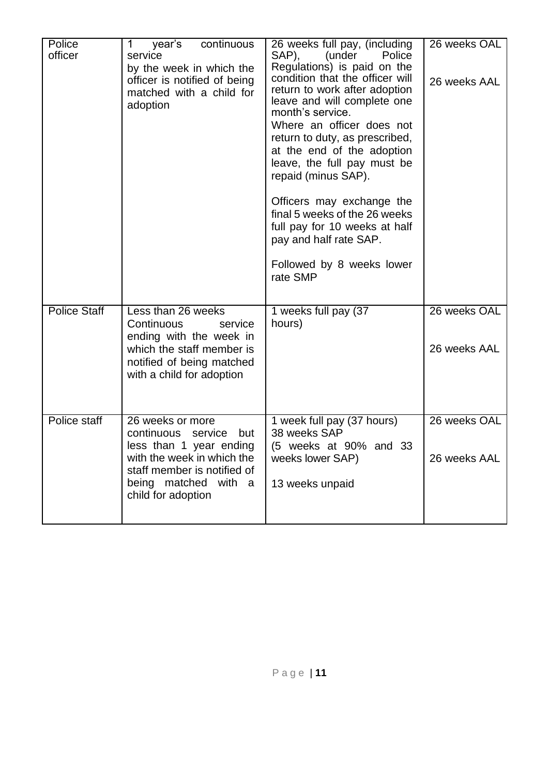| Police<br>officer   | year's<br>continuous<br>1<br>service<br>by the week in which the<br>officer is notified of being<br>matched with a child for<br>adoption                                               | 26 weeks full pay, (including<br>SAP),<br>(under<br>Police<br>Regulations) is paid on the<br>condition that the officer will<br>return to work after adoption<br>leave and will complete one<br>month's service.<br>Where an officer does not<br>return to duty, as prescribed,<br>at the end of the adoption<br>leave, the full pay must be<br>repaid (minus SAP).<br>Officers may exchange the<br>final 5 weeks of the 26 weeks<br>full pay for 10 weeks at half<br>pay and half rate SAP.<br>Followed by 8 weeks lower<br>rate SMP | 26 weeks OAL<br>26 weeks AAL |
|---------------------|----------------------------------------------------------------------------------------------------------------------------------------------------------------------------------------|---------------------------------------------------------------------------------------------------------------------------------------------------------------------------------------------------------------------------------------------------------------------------------------------------------------------------------------------------------------------------------------------------------------------------------------------------------------------------------------------------------------------------------------|------------------------------|
| <b>Police Staff</b> | Less than 26 weeks<br>Continuous<br>service<br>ending with the week in<br>which the staff member is<br>notified of being matched<br>with a child for adoption                          | 1 weeks full pay (37<br>hours)                                                                                                                                                                                                                                                                                                                                                                                                                                                                                                        | 26 weeks OAL<br>26 weeks AAL |
| Police staff        | 26 weeks or more<br>continuous<br>service<br>but<br>less than 1 year ending<br>with the week in which the<br>staff member is notified of<br>being matched with a<br>child for adoption | 1 week full pay (37 hours)<br>38 weeks SAP<br>(5 weeks at 90% and 33<br>weeks lower SAP)<br>13 weeks unpaid                                                                                                                                                                                                                                                                                                                                                                                                                           | 26 weeks OAL<br>26 weeks AAL |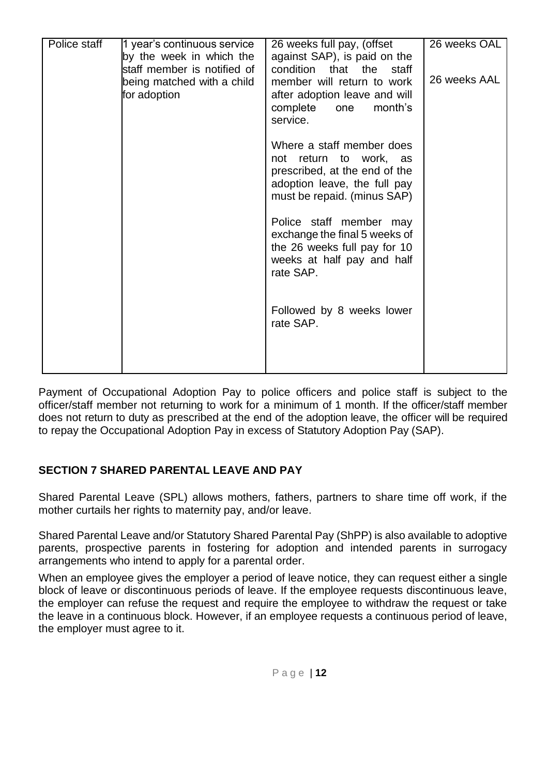| Police staff | 1 year's continuous service | 26 weeks full pay, (offset     | 26 weeks OAL |
|--------------|-----------------------------|--------------------------------|--------------|
|              | by the week in which the    | against SAP), is paid on the   |              |
|              | staff member is notified of | condition<br>that the<br>staff |              |
|              | being matched with a child  | member will return to work     | 26 weeks AAL |
|              | for adoption                | after adoption leave and will  |              |
|              |                             | complete<br>month's<br>one     |              |
|              |                             | service.                       |              |
|              |                             |                                |              |
|              |                             | Where a staff member does      |              |
|              |                             | not return to work, as         |              |
|              |                             | prescribed, at the end of the  |              |
|              |                             | adoption leave, the full pay   |              |
|              |                             | must be repaid. (minus SAP)    |              |
|              |                             |                                |              |
|              |                             | Police staff member may        |              |
|              |                             | exchange the final 5 weeks of  |              |
|              |                             | the 26 weeks full pay for 10   |              |
|              |                             | weeks at half pay and half     |              |
|              |                             | rate SAP.                      |              |
|              |                             |                                |              |
|              |                             |                                |              |
|              |                             | Followed by 8 weeks lower      |              |
|              |                             | rate SAP.                      |              |
|              |                             |                                |              |
|              |                             |                                |              |
|              |                             |                                |              |
|              |                             |                                |              |

Payment of Occupational Adoption Pay to police officers and police staff is subject to the officer/staff member not returning to work for a minimum of 1 month. If the officer/staff member does not return to duty as prescribed at the end of the adoption leave, the officer will be required to repay the Occupational Adoption Pay in excess of Statutory Adoption Pay (SAP).

# <span id="page-10-0"></span>**SECTION 7 SHARED PARENTAL LEAVE AND PAY**

Shared Parental Leave (SPL) allows mothers, fathers, partners to share time off work, if the mother curtails her rights to maternity pay, and/or leave.

Shared Parental Leave and/or Statutory Shared Parental Pay (ShPP) is also available to adoptive parents, prospective parents in fostering for adoption and intended parents in surrogacy arrangements who intend to apply for a parental order.

When an employee gives the employer a period of leave notice, they can request either a single block of leave or discontinuous periods of leave. If the employee requests discontinuous leave, the employer can refuse the request and require the employee to withdraw the request or take the leave in a continuous block. However, if an employee requests a continuous period of leave, the employer must agree to it.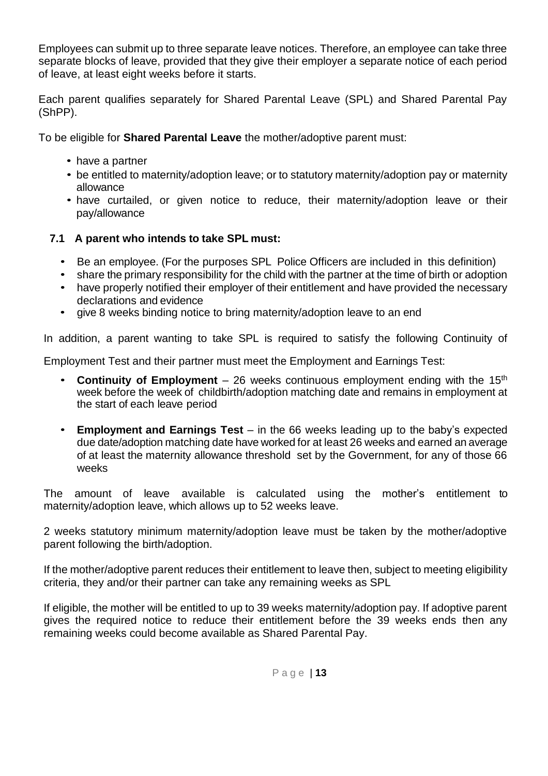Employees can submit up to three separate leave notices. Therefore, an employee can take three separate blocks of leave, provided that they give their employer a separate notice of each period of leave, at least eight weeks before it starts.

Each parent qualifies separately for Shared Parental Leave (SPL) and Shared Parental Pay (ShPP).

To be eligible for **Shared Parental Leave** the mother/adoptive parent must:

- have a partner
- be entitled to maternity/adoption leave; or to statutory maternity/adoption pay or maternity allowance
- have curtailed, or given notice to reduce, their maternity/adoption leave or their pay/allowance

#### **7.1 A parent who intends to take SPL must:**

- Be an employee. (For the purposes SPL Police Officers are included in this definition)
- share the primary responsibility for the child with the partner at the time of birth or adoption
- have properly notified their employer of their entitlement and have provided the necessary declarations and evidence
- give 8 weeks binding notice to bring maternity/adoption leave to an end

In addition, a parent wanting to take SPL is required to satisfy the following Continuity of

Employment Test and their partner must meet the Employment and Earnings Test:

- **Continuity of Employment** 26 weeks continuous employment ending with the 15<sup>th</sup> week before the week of childbirth/adoption matching date and remains in employment at the start of each leave period
- **Employment and Earnings Test** in the 66 weeks leading up to the baby's expected due date/adoption matching date have worked for at least 26 weeks and earned an average of at least the maternity allowance threshold set by the Government, for any of those 66 weeks

The amount of leave available is calculated using the mother's entitlement to maternity/adoption leave, which allows up to 52 weeks leave.

2 weeks statutory minimum maternity/adoption leave must be taken by the mother/adoptive parent following the birth/adoption.

If the mother/adoptive parent reduces their entitlement to leave then, subject to meeting eligibility criteria, they and/or their partner can take any remaining weeks as SPL

If eligible, the mother will be entitled to up to 39 weeks maternity/adoption pay. If adoptive parent gives the required notice to reduce their entitlement before the 39 weeks ends then any remaining weeks could become available as Shared Parental Pay.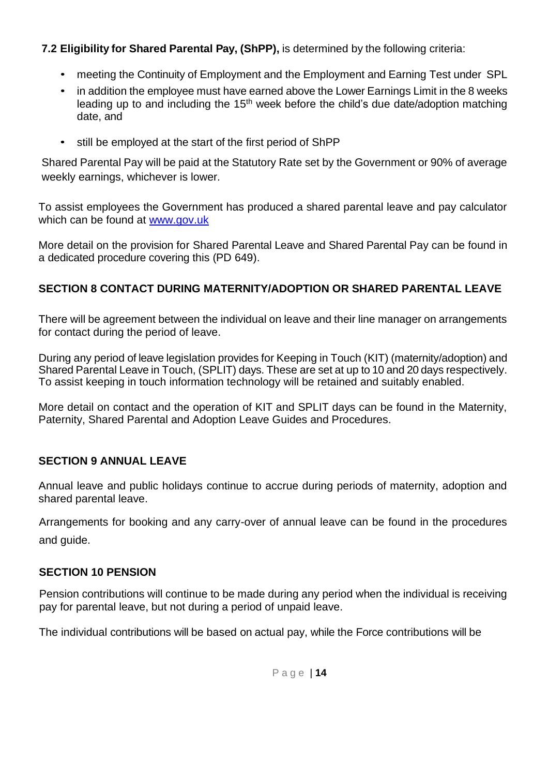# **7.2 Eligibility for Shared Parental Pay, (ShPP),** is determined by the following criteria:

- meeting the Continuity of Employment and the Employment and Earning Test under SPL
- in addition the employee must have earned above the Lower Earnings Limit in the 8 weeks leading up to and including the  $15<sup>th</sup>$  week before the child's due date/adoption matching date, and
- still be employed at the start of the first period of ShPP

Shared Parental Pay will be paid at the Statutory Rate set by the Government or 90% of average weekly earnings, whichever is lower.

To assist employees the Government has produced a shared parental leave and pay calculator which can be found at [www.gov.uk](http://www.gov.uk/)

More detail on the provision for Shared Parental Leave and Shared Parental Pay can be found in a dedicated procedure covering this (PD 649).

# <span id="page-12-0"></span>**SECTION 8 CONTACT DURING MATERNITY/ADOPTION OR SHARED PARENTAL LEAVE**

There will be agreement between the individual on leave and their line manager on arrangements for contact during the period of leave.

During any period of leave legislation provides for Keeping in Touch (KIT) (maternity/adoption) and Shared Parental Leave in Touch, (SPLIT) days. These are set at up to 10 and 20 days respectively. To assist keeping in touch information technology will be retained and suitably enabled.

More detail on contact and the operation of KIT and SPLIT days can be found in the Maternity, Paternity, Shared Parental and Adoption Leave Guides and Procedures.

# <span id="page-12-1"></span>**SECTION 9 ANNUAL LEAVE**

Annual leave and public holidays continue to accrue during periods of maternity, adoption and shared parental leave.

Arrangements for booking and any carry-over of annual leave can be found in the procedures and guide.

### <span id="page-12-2"></span>**SECTION 10 PENSION**

Pension contributions will continue to be made during any period when the individual is receiving pay for parental leave, but not during a period of unpaid leave.

The individual contributions will be based on actual pay, while the Force contributions will be